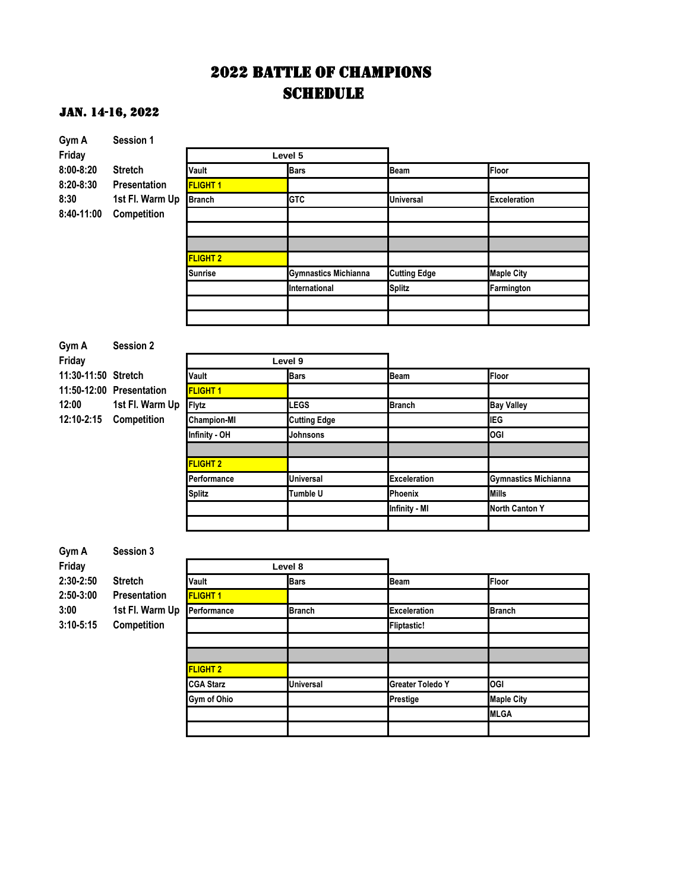# 2022 BATTLE OF CHAMPIONS **SCHEDULE**

| Gym A               | Session 1                |                    |                             |                         |                             |
|---------------------|--------------------------|--------------------|-----------------------------|-------------------------|-----------------------------|
| Friday              |                          |                    | Level 5                     |                         |                             |
| 8:00-8:20           | <b>Stretch</b>           | Vault              | <b>Bars</b>                 | <b>Beam</b>             | Floor                       |
| 8:20-8:30           | Presentation             | FLIGHT 1           |                             |                         |                             |
| 8:30                | 1st Fl. Warm Up          | <b>Branch</b>      | <b>GTC</b>                  | Universal               | <b>Exceleration</b>         |
| 8:40-11:00          | Competition              |                    |                             |                         |                             |
|                     |                          |                    |                             |                         |                             |
|                     |                          |                    |                             |                         |                             |
|                     |                          | <b>FLIGHT 2</b>    |                             |                         |                             |
|                     |                          | Sunrise            | <b>Gymnastics Michianna</b> | <b>Cutting Edge</b>     | <b>Maple City</b>           |
|                     |                          |                    | International               | <b>Splitz</b>           | Farmington                  |
|                     |                          |                    |                             |                         |                             |
|                     |                          |                    |                             |                         |                             |
| Gym A               | <b>Session 2</b>         |                    |                             |                         |                             |
| Friday              |                          |                    | Level 9                     |                         |                             |
| 11:30-11:50 Stretch |                          | Vault              | <b>Bars</b>                 | <b>Beam</b>             | Floor                       |
|                     | 11:50-12:00 Presentation | <b>FLIGHT 1</b>    |                             |                         |                             |
| 12:00               | 1st Fl. Warm Up          | <b>Flytz</b>       | <b>LEGS</b>                 | Branch                  | <b>Bay Valley</b>           |
| 12:10-2:15          | Competition              | <b>Champion-MI</b> | <b>Cutting Edge</b>         |                         | <b>IEG</b>                  |
|                     |                          | Infinity - OH      | Johnsons                    |                         | <b>OGI</b>                  |
|                     |                          |                    |                             |                         |                             |
|                     |                          | <b>FLIGHT 2</b>    |                             |                         |                             |
|                     |                          | Performance        | Universal                   | <b>Exceleration</b>     | <b>Gymnastics Michianna</b> |
|                     |                          | <b>Splitz</b>      | Tumble U                    | Phoenix                 | <b>Mills</b>                |
|                     |                          |                    |                             | Infinity - MI           | <b>North Canton Y</b>       |
|                     |                          |                    |                             |                         |                             |
|                     |                          |                    |                             |                         |                             |
| Gym A               | Session 3                |                    |                             |                         |                             |
| Friday              |                          |                    | Level 8                     |                         |                             |
| $2:30 - 2:50$       | <b>Stretch</b>           | Vault              | <b>Bars</b>                 | Beam                    | Floor                       |
| 2:50-3:00           | Presentation             | <b>FLIGHT 1</b>    |                             |                         |                             |
| 3:00                | 1st Fl. Warm Up          | Performance        | <b>Branch</b>               | Exceleration            | Branch                      |
| $3:10 - 5:15$       | Competition              |                    |                             | <b>Fliptastic!</b>      |                             |
|                     |                          |                    |                             |                         |                             |
|                     |                          |                    |                             |                         |                             |
|                     |                          | <b>FLIGHT 2</b>    |                             |                         |                             |
|                     |                          | <b>CGA Starz</b>   | <b>Universal</b>            | <b>Greater Toledo Y</b> | OGI                         |
|                     |                          | Gym of Ohio        |                             | Prestige                | <b>Maple City</b>           |
|                     |                          |                    |                             |                         | <b>MLGA</b>                 |
|                     |                          |                    |                             |                         |                             |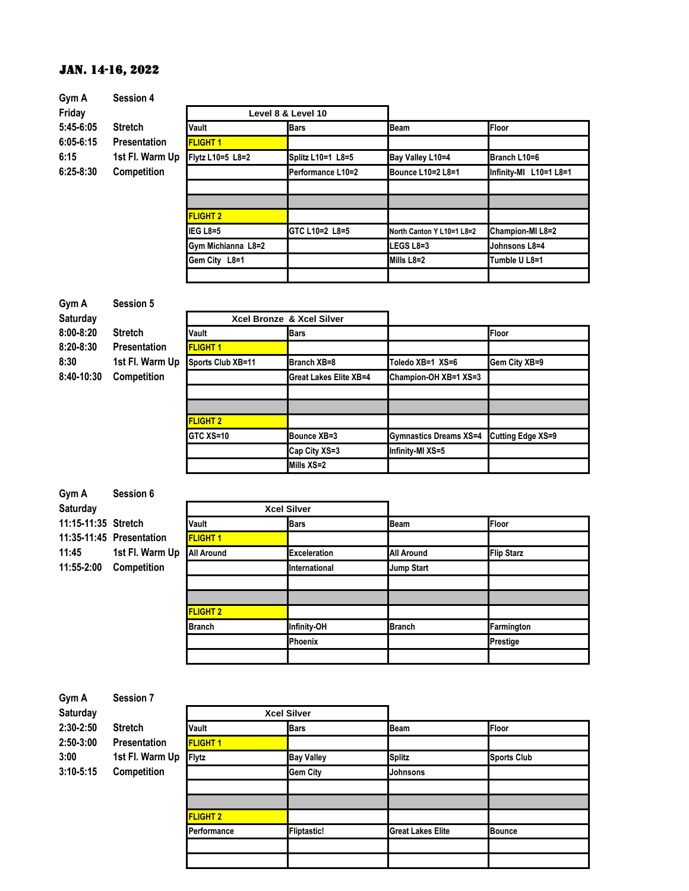| Gym A         | <b>Session 4</b>    |                    |                    |                           |                        |
|---------------|---------------------|--------------------|--------------------|---------------------------|------------------------|
| Friday        |                     |                    | Level 8 & Level 10 |                           |                        |
| 5:45-6:05     | <b>Stretch</b>      | Vault              | <b>Bars</b>        | <b>Beam</b>               | <b>Floor</b>           |
| $6:05 - 6:15$ | <b>Presentation</b> | <b>FLIGHT 1</b>    |                    |                           |                        |
| 6:15          | 1st Fl. Warm Up     | Flytz L10=5 L8=2   | Splitz L10=1 L8=5  | Bay Valley L10=4          | Branch L10=6           |
| $6:25-8:30$   | Competition         |                    | Performance L10=2  | Bounce L10=2 L8=1         | Infinity-MI L10=1 L8=1 |
|               |                     |                    |                    |                           |                        |
|               |                     |                    |                    |                           |                        |
|               |                     | <b>FLIGHT 2</b>    |                    |                           |                        |
|               |                     | IEG L8=5           | GTC L10=2 L8=5     | North Canton Y L10=1 L8=2 | Champion-MI L8=2       |
|               |                     | Gym Michianna L8=2 |                    | <b>LEGS L8=3</b>          | Johnsons L8=4          |
|               |                     | Gem City L8=1      |                    | $Mills L8=2$              | Tumble U L8=1          |
|               |                     |                    |                    |                           |                        |

| Gym A         | <b>Session 5</b>    |                   |                           |                               |                   |
|---------------|---------------------|-------------------|---------------------------|-------------------------------|-------------------|
| Saturday      |                     |                   | Xcel Bronze & Xcel Silver |                               |                   |
| $8:00 - 8:20$ | <b>Stretch</b>      | Vault             | <b>Bars</b>               |                               | Floor             |
| $8:20 - 8:30$ | <b>Presentation</b> | <b>FLIGHT 1</b>   |                           |                               |                   |
| 8:30          | 1st Fl. Warm Up     | Sports Club XB=11 | Branch XB=8               | Toledo XB=1 XS=6              | Gem City XB=9     |
| 8:40-10:30    | <b>Competition</b>  |                   | Great Lakes Elite XB=4    | Champion-OH XB=1 XS=3         |                   |
|               |                     |                   |                           |                               |                   |
|               |                     |                   |                           |                               |                   |
|               |                     | <b>FLIGHT 2</b>   |                           |                               |                   |
|               |                     | <b>GTC XS=10</b>  | Bounce XB=3               | <b>Gymnastics Dreams XS=4</b> | Cutting Edge XS=9 |

**Mills XS=2**

**Cap City XS=3 Infinity-MI XS=5**

| Gym A               | Session 6                |                   |                      |                   |                   |
|---------------------|--------------------------|-------------------|----------------------|-------------------|-------------------|
| <b>Saturday</b>     |                          |                   | <b>Xcel Silver</b>   |                   |                   |
| 11:15-11:35 Stretch |                          | Vault             | <b>Bars</b>          | <b>Beam</b>       | Floor             |
|                     | 11:35-11:45 Presentation | <b>FLIGHT 1</b>   |                      |                   |                   |
| 11:45               | 1st Fl. Warm Up          | <b>All Around</b> | <b>Exceleration</b>  | <b>All Around</b> | <b>Flip Starz</b> |
| 11:55-2:00          | <b>Competition</b>       |                   | <b>International</b> | <b>Jump Start</b> |                   |
|                     |                          |                   |                      |                   |                   |
|                     |                          |                   |                      |                   |                   |
|                     |                          | <b>FLIGHT 2</b>   |                      |                   |                   |
|                     |                          | <b>Branch</b>     | <b>Infinity-OH</b>   | <b>Branch</b>     | Farmington        |
|                     |                          |                   | <b>Phoenix</b>       |                   | Prestige          |
|                     |                          |                   |                      |                   |                   |

| Gym A           | <b>Session 7</b>    |                 |                    |                          |                    |
|-----------------|---------------------|-----------------|--------------------|--------------------------|--------------------|
| <b>Saturday</b> |                     |                 | <b>Xcel Silver</b> |                          |                    |
| $2:30 - 2:50$   | <b>Stretch</b>      | Vault           | <b>Bars</b>        | <b>Beam</b>              | Floor              |
| 2:50-3:00       | <b>Presentation</b> | <b>FLIGHT 1</b> |                    |                          |                    |
| 3:00            | 1st Fl. Warm Up     | <b>Flytz</b>    | <b>Bay Valley</b>  | <b>Splitz</b>            | <b>Sports Club</b> |
| $3:10 - 5:15$   | Competition         |                 | <b>Gem City</b>    | Johnsons                 |                    |
|                 |                     |                 |                    |                          |                    |
|                 |                     |                 |                    |                          |                    |
|                 |                     | <b>FLIGHT 2</b> |                    |                          |                    |
|                 |                     | Performance     | <b>Fliptastic!</b> | <b>Great Lakes Elite</b> | <b>Bounce</b>      |
|                 |                     |                 |                    |                          |                    |
|                 |                     |                 |                    |                          |                    |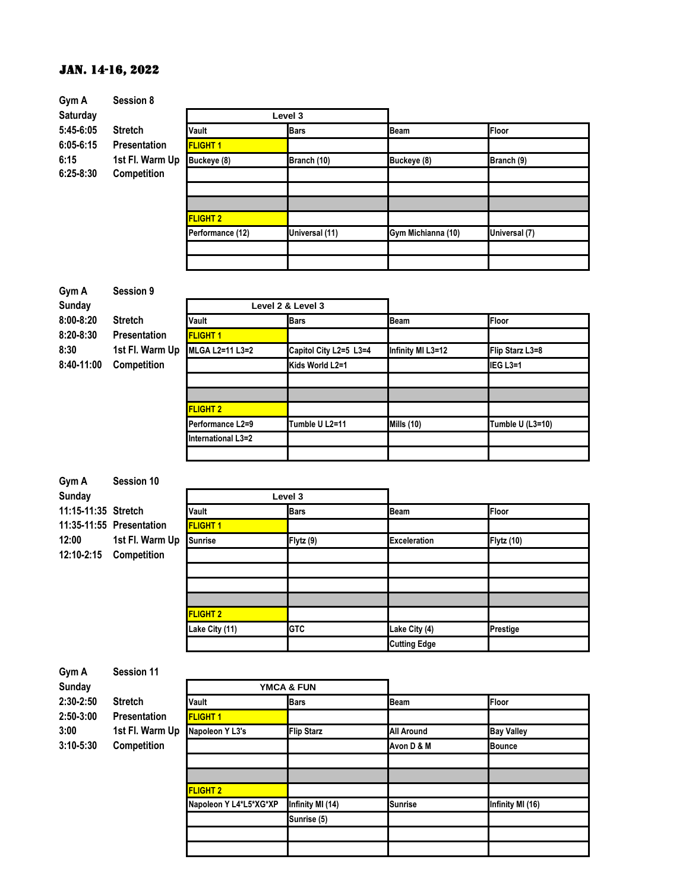| Gym A           | Session 8           |                    |                        |                    |                       |  |  |  |
|-----------------|---------------------|--------------------|------------------------|--------------------|-----------------------|--|--|--|
| <b>Saturday</b> |                     | Level 3            |                        |                    |                       |  |  |  |
| 5:45-6:05       | <b>Stretch</b>      | Vault              | <b>Bars</b>            | <b>Beam</b>        | <b>Floor</b>          |  |  |  |
| $6:05 - 6:15$   | <b>Presentation</b> | <b>FLIGHT 1</b>    |                        |                    |                       |  |  |  |
| 6:15            | 1st Fl. Warm Up     | Buckeye (8)        | Branch (10)            | Buckeye (8)        | Branch (9)            |  |  |  |
| $6:25-8:30$     | Competition         |                    |                        |                    |                       |  |  |  |
|                 |                     |                    |                        |                    |                       |  |  |  |
|                 |                     |                    |                        |                    |                       |  |  |  |
|                 |                     | <b>FLIGHT 2</b>    |                        |                    |                       |  |  |  |
|                 |                     | Performance (12)   | Universal (11)         | Gym Michianna (10) | Universal (7)         |  |  |  |
|                 |                     |                    |                        |                    |                       |  |  |  |
|                 |                     |                    |                        |                    |                       |  |  |  |
|                 |                     |                    |                        |                    |                       |  |  |  |
| Gym A           | Session 9           |                    |                        |                    |                       |  |  |  |
| <b>Sunday</b>   |                     |                    | Level 2 & Level 3      |                    |                       |  |  |  |
| $8:00 - 8:20$   | <b>Stretch</b>      | Vault              | <b>Bars</b>            | <b>Beam</b>        | <b>Floor</b>          |  |  |  |
| $8:20 - 8:30$   | Presentation        | <b>FLIGHT 1</b>    |                        |                    |                       |  |  |  |
| 8:30            | 1st Fl. Warm Up     | MLGA L2=11 L3=2    | Capitol City L2=5 L3=4 | Infinity MI L3=12  | Flip Starz L3=8       |  |  |  |
| 8:40-11:00      | Competition         |                    | Kids World L2=1        |                    | IEG L <sub>3</sub> =1 |  |  |  |
|                 |                     |                    |                        |                    |                       |  |  |  |
|                 |                     |                    |                        |                    |                       |  |  |  |
|                 |                     | <b>FLIGHT 2</b>    |                        |                    |                       |  |  |  |
|                 |                     | Performance L2=9   | Tumble U L2=11         | <b>Mills (10)</b>  | Tumble U (L3=10)      |  |  |  |
|                 |                     | International L3=2 |                        |                    |                       |  |  |  |
|                 |                     |                    |                        |                    |                       |  |  |  |
|                 |                     |                    |                        |                    |                       |  |  |  |
| Gym A           | Session 10          |                    |                        |                    |                       |  |  |  |

| <b>Sunday</b>       |                          |                 | Level 3     |                     |            |
|---------------------|--------------------------|-----------------|-------------|---------------------|------------|
| 11:15-11:35 Stretch |                          | Vault           | <b>Bars</b> | <b>Beam</b>         | Floor      |
|                     | 11:35-11:55 Presentation | <b>FLIGHT 1</b> |             |                     |            |
| 12:00               | 1st Fl. Warm Up          | <b>Sunrise</b>  | Flytz (9)   | <b>Exceleration</b> | Flytz (10) |
| 12:10-2:15          | <b>Competition</b>       |                 |             |                     |            |
|                     |                          |                 |             |                     |            |
|                     |                          |                 |             |                     |            |
|                     |                          |                 |             |                     |            |
|                     |                          | <b>FLIGHT 2</b> |             |                     |            |
|                     |                          | Lake City (11)  | <b>GTC</b>  | Lake City (4)       | Prestige   |
|                     |                          |                 |             | <b>Cutting Edge</b> |            |

| Gym A         | <b>Session 11</b>   |                        |                   |                   |                   |
|---------------|---------------------|------------------------|-------------------|-------------------|-------------------|
| <b>Sunday</b> |                     | <b>YMCA &amp; FUN</b>  |                   |                   |                   |
| $2:30 - 2:50$ | <b>Stretch</b>      | Vault                  | <b>Bars</b>       | <b>Beam</b>       | Floor             |
| 2:50-3:00     | <b>Presentation</b> | <b>FLIGHT 1</b>        |                   |                   |                   |
| 3:00          | 1st Fl. Warm Up     | Napoleon Y L3's        | <b>Flip Starz</b> | <b>All Around</b> | <b>Bay Valley</b> |
| $3:10 - 5:30$ | <b>Competition</b>  |                        |                   | Avon D & M        | <b>Bounce</b>     |
|               |                     |                        |                   |                   |                   |
|               |                     |                        |                   |                   |                   |
|               |                     | <b>FLIGHT 2</b>        |                   |                   |                   |
|               |                     | Napoleon Y L4*L5*XG*XP | Infinity MI (14)  | <b>Sunrise</b>    | Infinity MI (16)  |
|               |                     |                        | Sunrise (5)       |                   |                   |
|               |                     |                        |                   |                   |                   |
|               |                     |                        |                   |                   |                   |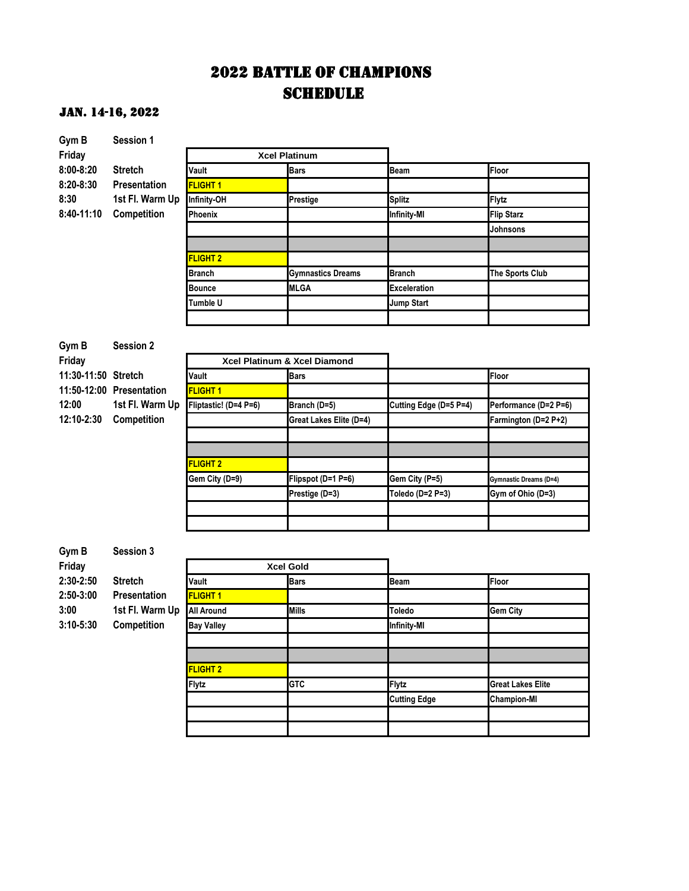# 2022 BATTLE OF CHAMPIONS **SCHEDULE**

| Gym B               | Session 1                |                       |                              |                        |                          |
|---------------------|--------------------------|-----------------------|------------------------------|------------------------|--------------------------|
| Friday              |                          |                       | <b>Xcel Platinum</b>         |                        |                          |
| 8:00-8:20           | <b>Stretch</b>           | Vault                 | <b>Bars</b>                  | Beam                   | Floor                    |
| $8:20 - 8:30$       | <b>Presentation</b>      | <b>FLIGHT 1</b>       |                              |                        |                          |
| 8:30                | 1st Fl. Warm Up          | Infinity-OH           | Prestige                     | <b>Splitz</b>          | Flytz                    |
| 8:40-11:10          | Competition              | Phoenix               |                              | <b>Infinity-MI</b>     | <b>Flip Starz</b>        |
|                     |                          |                       |                              |                        | Johnsons                 |
|                     |                          |                       |                              |                        |                          |
|                     |                          | <b>FLIGHT 2</b>       |                              |                        |                          |
|                     |                          | <b>Branch</b>         | <b>Gymnastics Dreams</b>     | Branch                 | The Sports Club          |
|                     |                          | <b>Bounce</b>         | <b>MLGA</b>                  | <b>Exceleration</b>    |                          |
|                     |                          | Tumble U              |                              | <b>Jump Start</b>      |                          |
|                     |                          |                       |                              |                        |                          |
|                     |                          |                       |                              |                        |                          |
| Gym B               | <b>Session 2</b>         |                       |                              |                        |                          |
| Friday              |                          |                       | Xcel Platinum & Xcel Diamond |                        |                          |
| 11:30-11:50 Stretch |                          | Vault                 | <b>Bars</b>                  |                        | Floor                    |
|                     | 11:50-12:00 Presentation | <b>FLIGHT 1</b>       |                              |                        |                          |
| 12:00               | 1st Fl. Warm Up          | Fliptastic! (D=4 P=6) | Branch (D=5)                 | Cutting Edge (D=5 P=4) | Performance (D=2 P=6)    |
| 12:10-2:30          | Competition              |                       | Great Lakes Elite (D=4)      |                        | Farmington (D=2 P+2)     |
|                     |                          |                       |                              |                        |                          |
|                     |                          |                       |                              |                        |                          |
|                     |                          | <b>FLIGHT 2</b>       |                              |                        |                          |
|                     |                          | Gem City (D=9)        | Flipspot (D=1 P=6)           | Gem City (P=5)         | Gymnastic Dreams (D=4)   |
|                     |                          |                       | Prestige (D=3)               | Toledo (D=2 P=3)       | Gym of Ohio (D=3)        |
|                     |                          |                       |                              |                        |                          |
|                     |                          |                       |                              |                        |                          |
|                     |                          |                       |                              |                        |                          |
| Gym B               | <b>Session 3</b>         |                       |                              |                        |                          |
| Friday              |                          |                       | <b>Xcel Gold</b>             |                        |                          |
| 2:30-2:50           | <b>Stretch</b>           | Vault                 | <b>Bars</b>                  | Beam                   | Floor                    |
| 2:50-3:00           | Presentation             | <b>FLIGHT 1</b>       |                              |                        |                          |
| 3:00                | 1st Fl. Warm Up          | All Around            | <b>Mills</b>                 | Toledo                 | <b>Gem City</b>          |
| 3:10-5:30           | Competition              | <b>Bay Valley</b>     |                              | Infinity-MI            |                          |
|                     |                          |                       |                              |                        |                          |
|                     |                          |                       |                              |                        |                          |
|                     |                          | <b>FLIGHT 2</b>       |                              |                        |                          |
|                     |                          | Flytz                 | <b>GTC</b>                   | <b>Flytz</b>           | <b>Great Lakes Elite</b> |
|                     |                          |                       |                              | <b>Cutting Edge</b>    | <b>Champion-MI</b>       |
|                     |                          |                       |                              |                        |                          |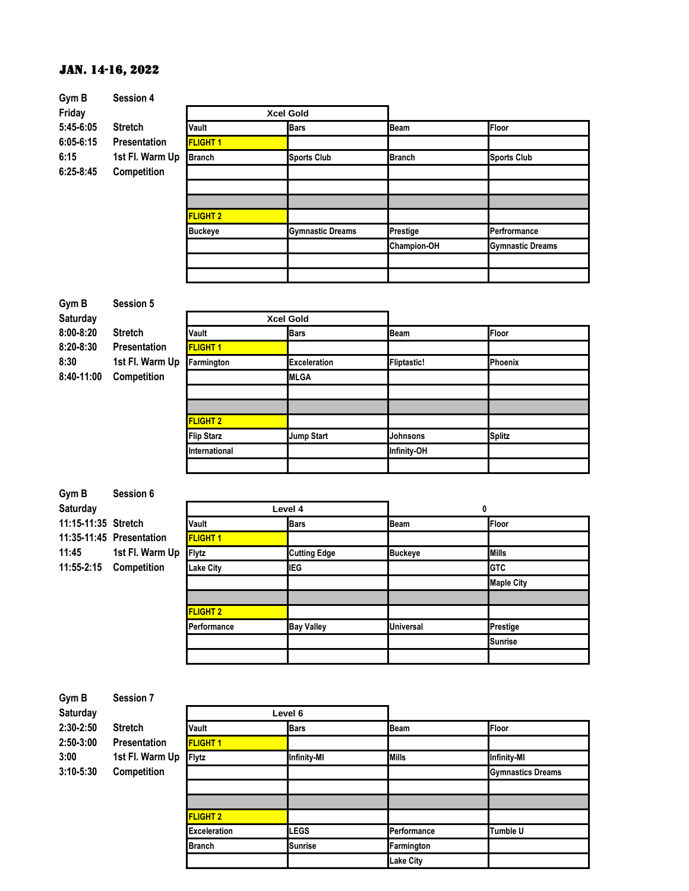| Gym B         | <b>Session 4</b>    |                  |                         |                    |                         |
|---------------|---------------------|------------------|-------------------------|--------------------|-------------------------|
| Friday        |                     | <b>Xcel Gold</b> |                         |                    |                         |
| 5:45-6:05     | <b>Stretch</b>      | Vault            | <b>Bars</b>             | <b>Beam</b>        | Floor                   |
| $6:05 - 6:15$ | <b>Presentation</b> | <b>FLIGHT 1</b>  |                         |                    |                         |
| 6:15          | 1st Fl. Warm Up     | <b>Branch</b>    | <b>Sports Club</b>      | <b>Branch</b>      | <b>Sports Club</b>      |
| $6:25 - 8:45$ | Competition         |                  |                         |                    |                         |
|               |                     |                  |                         |                    |                         |
|               |                     |                  |                         |                    |                         |
|               |                     | <b>FLIGHT 2</b>  |                         |                    |                         |
|               |                     | <b>Buckeye</b>   | <b>Gymnastic Dreams</b> | Prestige           | Perfrormance            |
|               |                     |                  |                         | <b>Champion-OH</b> | <b>Gymnastic Dreams</b> |
|               |                     |                  |                         |                    |                         |
|               |                     |                  |                         |                    |                         |

| Gym B         | <b>Session 5</b>    |                   |                     |                    |                |
|---------------|---------------------|-------------------|---------------------|--------------------|----------------|
| Saturday      |                     |                   | <b>Xcel Gold</b>    |                    |                |
| $8:00 - 8:20$ | <b>Stretch</b>      | Vault             | <b>Bars</b>         | <b>Beam</b>        | Floor          |
| $8:20 - 8:30$ | <b>Presentation</b> | <b>FLIGHT 1</b>   |                     |                    |                |
| 8:30          | 1st Fl. Warm Up     | Farmington        | <b>Exceleration</b> | <b>Fliptastic!</b> | <b>Phoenix</b> |
| 8:40-11:00    | Competition         |                   | <b>MLGA</b>         |                    |                |
|               |                     |                   |                     |                    |                |
|               |                     |                   |                     |                    |                |
|               |                     | <b>FLIGHT 2</b>   |                     |                    |                |
|               |                     | <b>Flip Starz</b> | <b>Jump Start</b>   | Johnsons           | <b>Splitz</b>  |
|               |                     | International     |                     | Infinity-OH        |                |

| Gym B               | Session 6                |                 |                     |                  |                   |
|---------------------|--------------------------|-----------------|---------------------|------------------|-------------------|
| Saturday            |                          |                 | Level 4             | 0                |                   |
| 11:15-11:35 Stretch |                          | Vault           | <b>Bars</b>         | <b>Beam</b>      | Floor             |
|                     | 11:35-11:45 Presentation | <b>FLIGHT 1</b> |                     |                  |                   |
| 11:45               | 1st Fl. Warm Up          | <b>Flytz</b>    | <b>Cutting Edge</b> | <b>Buckeye</b>   | <b>Mills</b>      |
| 11:55-2:15          | <b>Competition</b>       | Lake City       | IEG                 |                  | <b>GTC</b>        |
|                     |                          |                 |                     |                  | <b>Maple City</b> |
|                     |                          |                 |                     |                  |                   |
|                     |                          | <b>FLIGHT 2</b> |                     |                  |                   |
|                     |                          | Performance     | <b>Bay Valley</b>   | <b>Universal</b> | Prestige          |
|                     |                          |                 |                     |                  | <b>Sunrise</b>    |
|                     |                          |                 |                     |                  |                   |

| Gym B                          | <b>Session 7</b>                                         |                     |                    |                  |                          |
|--------------------------------|----------------------------------------------------------|---------------------|--------------------|------------------|--------------------------|
| Saturday                       | <b>Stretch</b><br><b>Presentation</b><br>1st Fl. Warm Up | Level 6             |                    |                  |                          |
| 2:30-2:50<br>2:50-3:00<br>3:00 |                                                          | Vault               | <b>Bars</b>        | Beam             | <b>Floor</b>             |
|                                |                                                          | <b>FLIGHT 1</b>     |                    |                  |                          |
|                                |                                                          | <b>Flytz</b>        | <b>Infinity-MI</b> | <b>Mills</b>     | <b>Infinity-MI</b>       |
| $3:10 - 5:30$                  | Competition                                              |                     |                    |                  | <b>Gymnastics Dreams</b> |
|                                |                                                          |                     |                    |                  |                          |
|                                |                                                          |                     |                    |                  |                          |
|                                |                                                          | <b>FLIGHT 2</b>     |                    |                  |                          |
|                                |                                                          | <b>Exceleration</b> | LEGS               | Performance      | <b>Tumble U</b>          |
|                                |                                                          | <b>Branch</b>       | Sunrise            | Farmington       |                          |
|                                |                                                          |                     |                    | <b>Lake City</b> |                          |